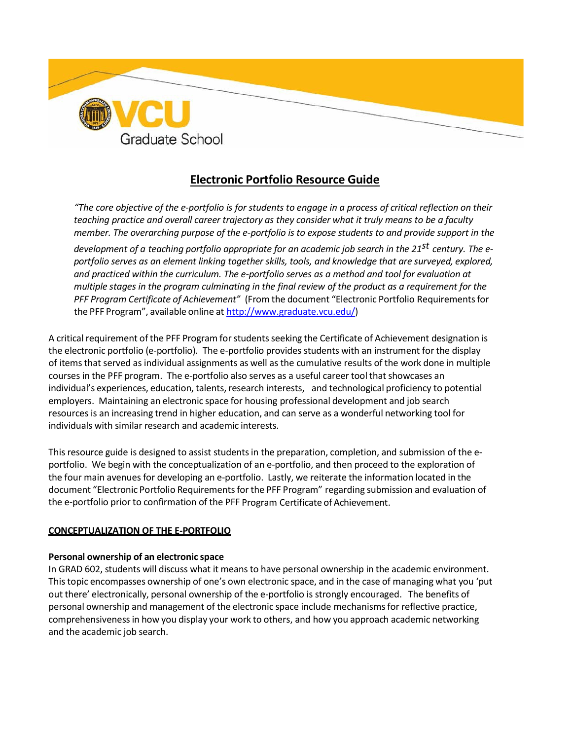

# **Electronic Portfolio Resource Guide**

"The core objective of the e-portfolio is for students to engage in a process of critical reflection on their *teaching practice and overall career trajectory as they consider what it truly means to be a faculty member. The overarching purpose of the e-portfolio is to expose students to and provide support in the development of a teaching portfolio appropriate for an academic job search in the 21st century. The eportfolio serves as an element linking together skills, tools, and knowledge that are surveyed, explored, and practiced within the curriculum. The e-portfolio serves as a method and tool for evaluation at multiple stages in the program culminating in the final review of the product as a requirement for the PFF Program Certificate of Achievement"* (From the document "Electronic Portfolio Requirementsfor the PFF Program", available online at [http://www.graduate.vcu.edu/\)](http://www.graduate.vcu.edu/)

A critical requirement of the PFF Program for students seeking the Certificate of Achievement designation is the electronic portfolio (e-portfolio). The e-portfolio provides students with an instrument for the display of itemsthat served asindividual assignments as well as the cumulative results of the work done in multiple courses in the PFF program. The e-portfolio also serves as a useful career tool that showcases an individual's experiences, education, talents, research interests, and technological proficiency to potential employers. Maintaining an electronic space for housing professional development and job search resources is an increasing trend in higher education, and can serve as a wonderful networking tool for individuals with similar research and academic interests.

This resource guide is designed to assist students in the preparation, completion, and submission of the eportfolio. We begin with the conceptualization of an e-portfolio, and then proceed to the exploration of the four main avenues for developing an e-portfolio. Lastly, we reiterate the information located in the document "Electronic Portfolio Requirementsfor the PFF Program" regarding submission and evaluation of the e-portfolio prior to confirmation of the PFF Program Certificate of Achievement.

#### **CONCEPTUALIZATION OF THE E-PORTFOLIO**

#### **Personal ownership of an electronic space**

In GRAD 602, students will discuss what it means to have personal ownership in the academic environment. Thistopic encompasses ownership of one's own electronic space, and in the case of managing what you 'put out there' electronically, personal ownership of the e-portfolio is strongly encouraged. The benefits of personal ownership and management of the electronic space include mechanismsfor reflective practice, comprehensivenessin how you display your work to others, and how you approach academic networking and the academic job search.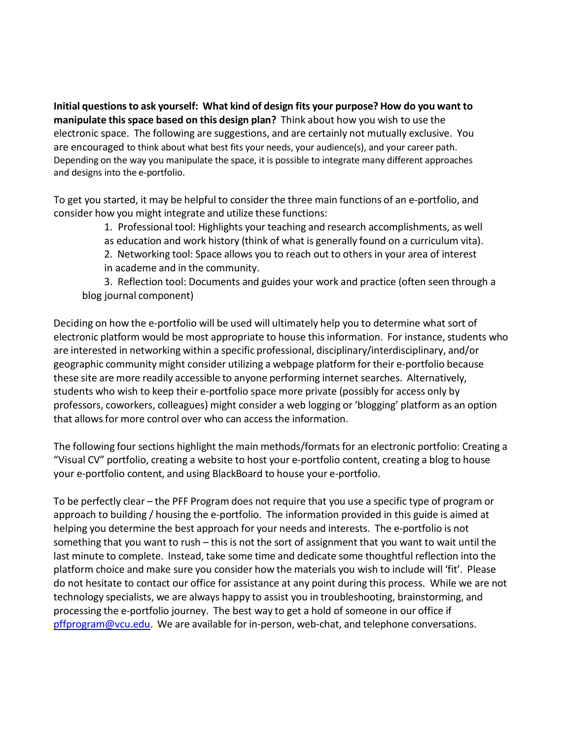**Initial questionsto ask yourself: What kind of design fits your purpose? How do you want to manipulate thisspace based on this design plan?** Think about how you wish to use the electronic space. The following are suggestions, and are certainly not mutually exclusive. You are encouraged to think about what best fits your needs, your audience(s), and your career path. Depending on the way you manipulate the space, it is possible to integrate many different approaches and designs into the e-portfolio.

To get you started, it may be helpful to consider the three main functions of an e-portfolio, and consider how you might integrate and utilize these functions:

1. Professional tool: Highlights your teaching and research accomplishments, as well

as education and work history (think of what is generally found on a curriculum vita).

2. Networking tool: Space allows you to reach out to others in your area of interest

in academe and in the community.

3. Reflection tool: Documents and guides your work and practice (often seen through a blog journal component)

Deciding on how the e-portfolio will be used will ultimately help you to determine what sort of electronic platform would be most appropriate to house this information. For instance, students who are interested in networking within a specific professional, disciplinary/interdisciplinary, and/or geographic community might consider utilizing a webpage platform for their e-portfolio because these site are more readily accessible to anyone performing internet searches. Alternatively, students who wish to keep their e-portfolio space more private (possibly for access only by professors, coworkers, colleagues) might consider a web logging or 'blogging' platform as an option that allows for more control over who can access the information.

The following four sections highlight the main methods/formats for an electronic portfolio: Creating a "Visual CV" portfolio, creating a website to host your e-portfolio content, creating a blog to house your e-portfolio content, and using BlackBoard to house your e-portfolio.

To be perfectly clear – the PFF Program does not require that you use a specific type of program or approach to building / housing the e-portfolio. The information provided in this guide is aimed at helping you determine the best approach for your needs and interests. The e-portfolio is not something that you want to rush – this is not the sort of assignment that you want to wait until the last minute to complete. Instead, take some time and dedicate some thoughtful reflection into the platform choice and make sure you consider how the materials you wish to include will 'fit'. Please do not hesitate to contact our office for assistance at any point during this process. While we are not technology specialists, we are always happy to assist you in troubleshooting, brainstorming, and processing the e-portfolio journey. The best way to get a hold of someone in our office if [pffprogram@vcu.edu.](mailto:pffprogram@vcu.edu) We are available for in-person, web-chat, and telephone conversations.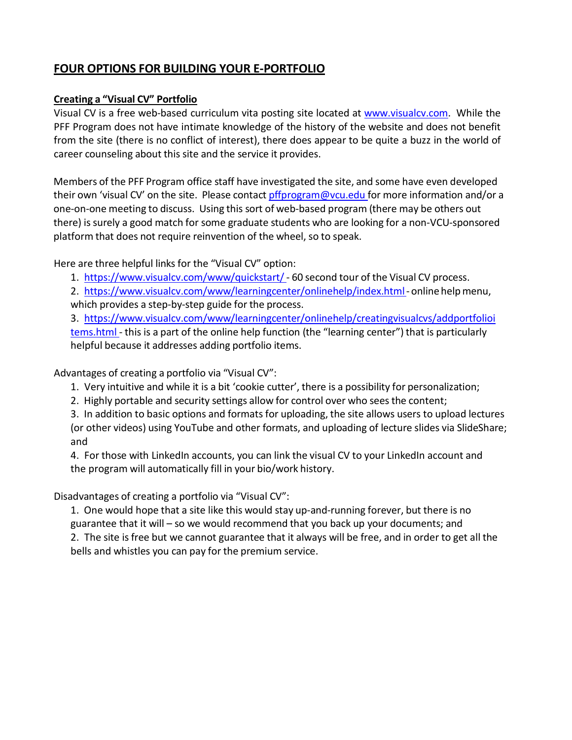## **FOUR OPTIONS FOR BUILDING YOUR E-PORTFOLIO**

#### **Creating a "Visual CV" Portfolio**

Visual CV is a free web-based curriculum vita posting site located at [www.visualcv.com.](http://www.visualcv.com/) While the PFF Program does not have intimate knowledge of the history of the website and does not benefit from the site (there is no conflict of interest), there does appear to be quite a buzz in the world of career counseling about this site and the service it provides.

Members of the PFF Program office staff have investigated the site, and some have even developed their own 'visual CV' on the site. Please contact *pffprogram@vcu.edu* for more information and/or a one-on-one meeting to discuss. Using this sort of web-based program (there may be others out there) is surely a good match for some graduate students who are looking for a non-VCU-sponsored platform that does not require reinvention of the wheel, so to speak.

Here are three helpful links for the "Visual CV" option:

- 1. <https://www.visualcv.com/www/quickstart/> 60 second tour of the Visual CV process.
- 2. [https://www.visualcv.com/www/learningcenter/onlinehelp/index.html-](https://www.visualcv.com/www/learningcenter/onlinehelp/index.html) online helpmenu, which provides a step-by-step guide for the process.

3. <https://www.visualcv.com/www/learningcenter/onlinehelp/creatingvisualcvs/addportfolioi> [tems.html](https://www.visualcv.com/www/learning_center/online_help/creating_visualcvs/add_portfolio_items.html) - this is a part of the online help function (the "learning center") that is particularly helpful because it addresses adding portfolio items.

Advantages of creating a portfolio via "Visual CV":

- 1. Very intuitive and while it is a bit 'cookie cutter', there is a possibility for personalization;
- 2. Highly portable and security settings allow for control over who sees the content;

3. In addition to basic options and formats for uploading, the site allows users to upload lectures (or other videos) using YouTube and other formats, and uploading of lecture slides via SlideShare; and

4. For those with LinkedIn accounts, you can link the visual CV to your LinkedIn account and the program will automatically fill in your bio/work history.

Disadvantages of creating a portfolio via "Visual CV":

1. One would hope that a site like this would stay up-and-running forever, but there is no guarantee that it will – so we would recommend that you back up your documents; and 2. The site isfree but we cannot guarantee that it always will be free, and in order to get all the bells and whistles you can pay for the premium service.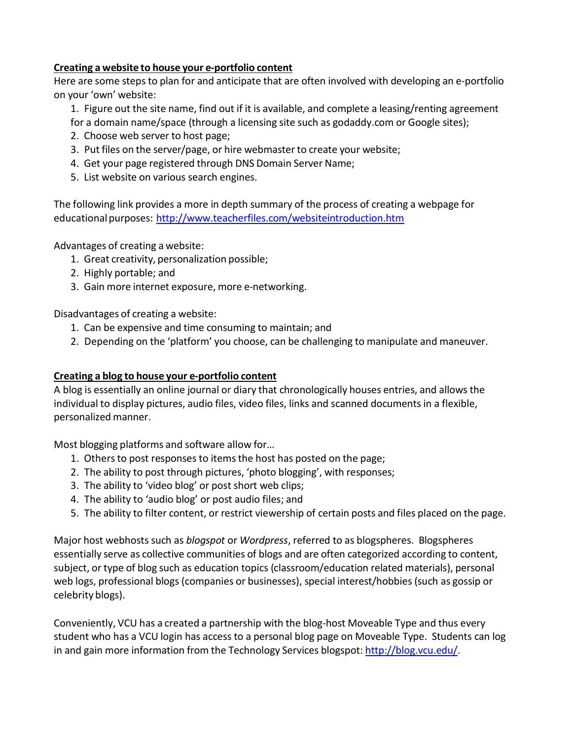#### **Creating a website to house your e-portfolio content**

Here are some steps to plan for and anticipate that are often involved with developing an e-portfolio on your 'own' website:

1. Figure out the site name, find out if it is available, and complete a leasing/renting agreement

- for a domain name/space (through a licensing site such as godaddy.com or Google sites);
- 2. Choose web server to host page;
- 3. Put files on the server/page, or hire webmasterto create your website;
- 4. Get your page registered through DNS Domain Server Name;
- 5. List website on various search engines.

The following link provides a more in depth summary of the process of creating a webpage for educational purposes: <http://www.teacherfiles.com/websiteintroduction.htm>

Advantages of creating a website:

- 1. Great creativity, personalization possible;
- 2. Highly portable; and
- 3. Gain more internet exposure, more e-networking.

Disadvantages of creating a website:

- 1. Can be expensive and time consuming to maintain; and
- 2. Depending on the 'platform' you choose, can be challenging to manipulate and maneuver.

#### **Creating a blog to house your e-portfolio content**

A blog is essentially an online journal or diary that chronologically houses entries, and allows the individual to display pictures, audio files, video files, links and scanned documents in a flexible, personalized manner.

Most blogging platforms and software allow for…

- 1. Others to post responses to items the host has posted on the page;
- 2. The ability to post through pictures, 'photo blogging', with responses;
- 3. The ability to 'video blog' or post short web clips;
- 4. The ability to 'audio blog' or post audio files; and
- 5. The ability to filter content, or restrict viewership of certain posts and files placed on the page.

Major host webhostssuch as *blogspot* or *Wordpress*, referred to as blogspheres. Blogspheres essentially serve as collective communities of blogs and are often categorized according to content, subject, or type of blog such as education topics (classroom/education related materials), personal web logs, professional blogs (companies or businesses), special interest/hobbies (such as gossip or celebrity blogs).

Conveniently, VCU has a created a partnership with the blog-host Moveable Type and thus every student who has a VCU login has access to a personal blog page on Moveable Type. Students can log in and gain more information from the Technology Services blogspot: [http://blog.vcu.edu/.](http://blog.vcu.edu/)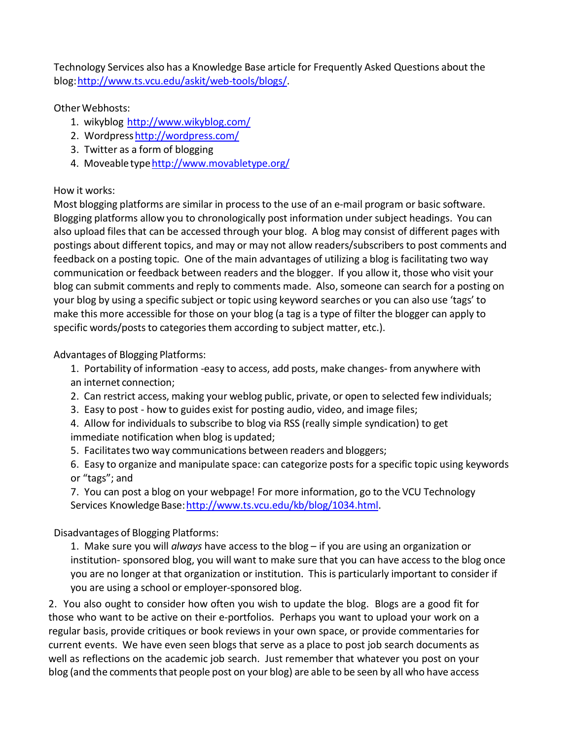Technology Services also has a Knowledge Base article for Frequently Asked Questions about the blog[:http://www.ts.vcu.edu/askit/web-tools/blogs/.](http://www.ts.vcu.edu/askit/web-tools/blogs/)

Other Webhosts:

- 1. wikyblog <http://www.wikyblog.com/>
- 2. Wordpres[shttp://wordpress.com/](http://wordpress.com/)
- 3. Twitter as a form of blogging
- 4. Moveabletyp[ehttp://www.movabletype.org/](http://www.movabletype.org/)

## How it works:

Most blogging platforms are similar in processto the use of an e-mail program or basic software. Blogging platforms allow you to chronologically post information under subject headings. You can also upload files that can be accessed through your blog. A blog may consist of different pages with postings about different topics, and may or may not allow readers/subscribers to post comments and feedback on a posting topic. One of the main advantages of utilizing a blog is facilitating two way communication or feedback between readers and the blogger. If you allow it, those who visit your blog can submit comments and reply to comments made. Also, someone can search for a posting on your blog by using a specific subject or topic using keyword searches or you can also use 'tags' to make this more accessible for those on your blog (a tag is a type of filter the blogger can apply to specific words/posts to categories them according to subject matter, etc.).

Advantages of Blogging Platforms:

1. Portability of information -easy to access, add posts, make changes- from anywhere with an internet connection;

- 2. Can restrict access, making your weblog public, private, or open to selected few individuals;
- 3. Easy to post how to guides exist for posting audio, video, and image files;

4. Allow for individuals to subscribe to blog via RSS (really simple syndication) to get immediate notification when blog is updated;

5. Facilitatestwo way communications between readers and bloggers;

6. Easy to organize and manipulate space: can categorize postsfor a specific topic using keywords or "tags"; and

7. You can post a blog on your webpage! For more information, go to the VCU Technology Services Knowledge Base: http://www.ts.vcu.edu/kb/blog/1034.html.

Disadvantages of Blogging Platforms:

1. Make sure you will *always* have access to the blog – if you are using an organization or institution- sponsored blog, you will want to make sure that you can have access to the blog once you are no longer at that organization or institution. This is particularly important to consider if you are using a school or employer-sponsored blog.

2. You also ought to consider how often you wish to update the blog. Blogs are a good fit for those who want to be active on their e-portfolios. Perhaps you want to upload your work on a regular basis, provide critiques or book reviews in your own space, or provide commentaries for current events. We have even seen blogs that serve as a place to post job search documents as well as reflections on the academic job search. Just remember that whatever you post on your blog (and the comments that people post on your blog) are able to be seen by all who have access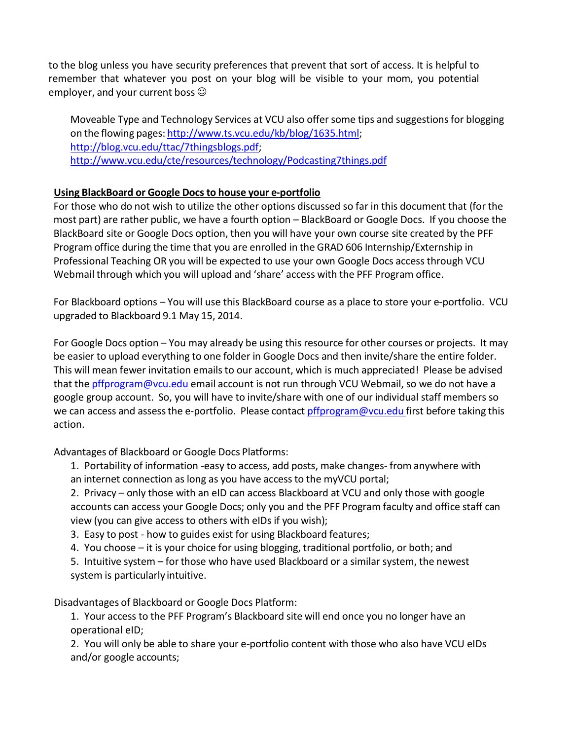to the blog unless you have security preferences that prevent that sort of access. It is helpful to remember that whatever you post on your blog will be visible to your mom, you potential employer, and your current boss  $\odot$ 

Moveable Type and Technology Services at VCU also offer some tips and suggestions for blogging on the flowing pages: [http://www.ts.vcu.edu/kb/blog/1635.html;](http://www.ts.vcu.edu/kb/blog/1635.html) [http://blog.vcu.edu/ttac/7thingsblogs.pdf;](http://blog.vcu.edu/ttac/7thingsblogs.pdf) <http://www.vcu.edu/cte/resources/technology/Podcasting7things.pdf>

### **Using BlackBoard or Google Docsto house your e-portfolio**

For those who do not wish to utilize the other options discussed so far in this document that (for the most part) are rather public, we have a fourth option – BlackBoard or Google Docs. If you choose the BlackBoard site or Google Docs option, then you will have your own course site created by the PFF Program office during the time that you are enrolled in the GRAD 606 Internship/Externship in Professional Teaching OR you will be expected to use your own Google Docs access through VCU Webmail through which you will upload and 'share' access with the PFF Program office.

For Blackboard options – You will use this BlackBoard course as a place to store your e-portfolio. VCU upgraded to Blackboard 9.1 May 15, 2014.

For Google Docs option – You may already be using this resource for other courses or projects. It may be easier to upload everything to one folder in Google Docs and then invite/share the entire folder. This will mean fewer invitation emails to our account, which is much appreciated! Please be advised that the [pffprogram@vcu.edu](mailto:pffprogram@vcu.edu) email account is not run through VCU Webmail, so we do not have a google group account. So, you will have to invite/share with one of our individual staff members so we can access and assess the e-portfolio. Please contact *[pffprogram@vcu.edu](mailto:pffprogram@vcu.edu)* first before taking this action.

Advantages of Blackboard or Google Docs Platforms:

1. Portability of information -easy to access, add posts, make changes- from anywhere with an internet connection as long as you have accessto the myVCU portal;

2. Privacy – only those with an eID can access Blackboard at VCU and only those with google accounts can access your Google Docs; only you and the PFF Program faculty and office staff can view (you can give access to others with eIDs if you wish);

- 3. Easy to post how to guides exist for using Blackboard features;
- 4. You choose it is your choice for using blogging, traditional portfolio, or both; and

5. Intuitive system – for those who have used Blackboard or a similar system, the newest system is particularly intuitive.

Disadvantages of Blackboard or Google Docs Platform:

1. Your access to the PFF Program's Blackboard site will end once you no longer have an operational eID;

2. You will only be able to share your e-portfolio content with those who also have VCU eIDs and/or google accounts;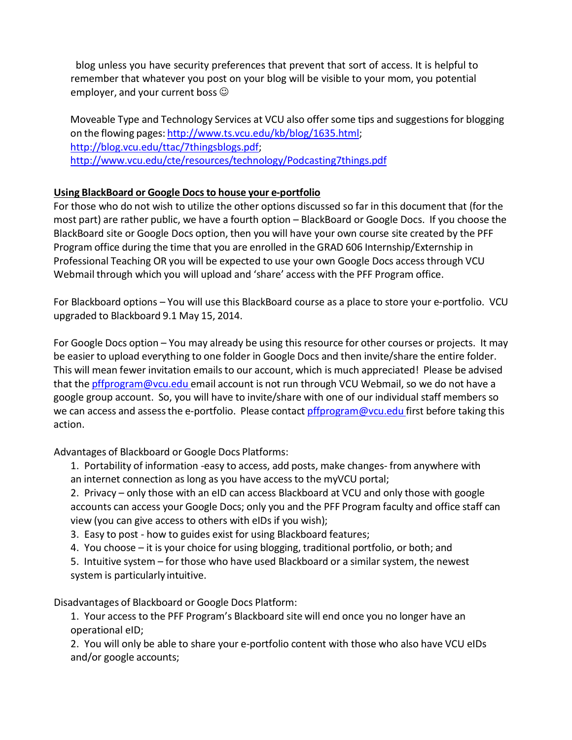blog unless you have security preferences that prevent that sort of access. It is helpful to remember that whatever you post on your blog will be visible to your mom, you potential employer, and your current boss  $\odot$ 

Moveable Type and Technology Services at VCU also offer some tips and suggestions for blogging on the flowing pages: [http://www.ts.vcu.edu/kb/blog/1635.html;](http://www.ts.vcu.edu/kb/blog/1635.html) [http://blog.vcu.edu/ttac/7thingsblogs.pdf;](http://blog.vcu.edu/ttac/7thingsblogs.pdf) <http://www.vcu.edu/cte/resources/technology/Podcasting7things.pdf>

### **Using BlackBoard or Google Docsto house your e-portfolio**

For those who do not wish to utilize the other options discussed so far in this document that (for the most part) are rather public, we have a fourth option – BlackBoard or Google Docs. If you choose the BlackBoard site or Google Docs option, then you will have your own course site created by the PFF Program office during the time that you are enrolled in the GRAD 606 Internship/Externship in Professional Teaching OR you will be expected to use your own Google Docs access through VCU Webmail through which you will upload and 'share' access with the PFF Program office.

For Blackboard options – You will use this BlackBoard course as a place to store your e-portfolio. VCU upgraded to Blackboard 9.1 May 15, 2014.

For Google Docs option – You may already be using this resource for other courses or projects. It may be easier to upload everything to one folder in Google Docs and then invite/share the entire folder. This will mean fewer invitation emails to our account, which is much appreciated! Please be advised that the [pffprogram@vcu.edu](mailto:pffprogram@vcu.edu) email account is not run through VCU Webmail, so we do not have a google group account. So, you will have to invite/share with one of our individual staff members so we can access and assess the e-portfolio. Please contact *[pffprogram@vcu.edu](mailto:pffprogram@vcu.edu)* first before taking this action.

Advantages of Blackboard or Google Docs Platforms:

1. Portability of information -easy to access, add posts, make changes- from anywhere with an internet connection as long as you have accessto the myVCU portal;

2. Privacy – only those with an eID can access Blackboard at VCU and only those with google accounts can access your Google Docs; only you and the PFF Program faculty and office staff can view (you can give access to others with eIDs if you wish);

- 3. Easy to post how to guides exist for using Blackboard features;
- 4. You choose it is your choice for using blogging, traditional portfolio, or both; and

5. Intuitive system – for those who have used Blackboard or a similar system, the newest system is particularly intuitive.

Disadvantages of Blackboard or Google Docs Platform:

1. Your access to the PFF Program's Blackboard site will end once you no longer have an operational eID;

2. You will only be able to share your e-portfolio content with those who also have VCU eIDs and/or google accounts;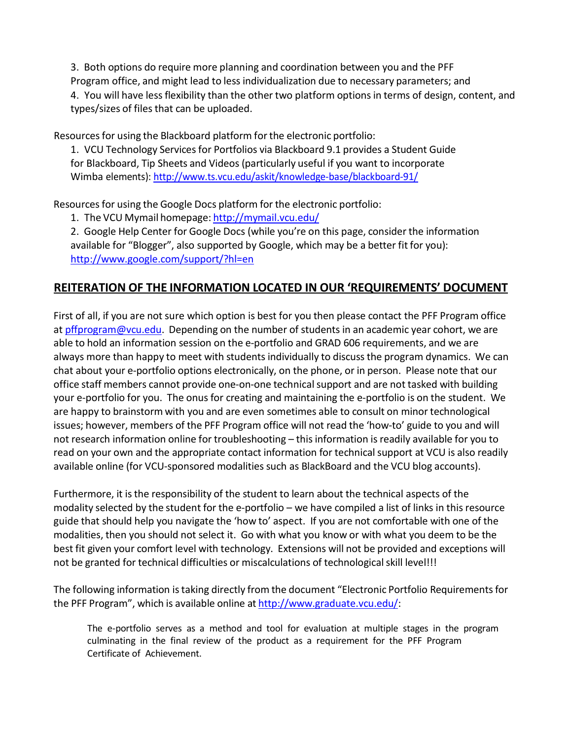3. Both options do require more planning and coordination between you and the PFF Program office, and might lead to less individualization due to necessary parameters; and 4. You will have lessflexibility than the other two platform optionsin terms of design, content, and types/sizes of filesthat can be uploaded.

Resources for using the Blackboard platform for the electronic portfolio:

1. VCU Technology Servicesfor Portfolios via Blackboard 9.1 provides a Student Guide for Blackboard, Tip Sheets and Videos (particularly useful if you want to incorporate Wimba elements): <http://www.ts.vcu.edu/askit/knowledge-base/blackboard-91/>

Resources for using the Google Docs platform for the electronic portfolio:

1. The VCU Mymail homepage: <http://mymail.vcu.edu/>

2. Google Help Center for Google Docs (while you're on this page, consider the information available for "Blogger", also supported by Google, which may be a better fit for you): <http://www.google.com/support/?hl=en>

## **REITERATION OF THE INFORMATION LOCATED IN OUR 'REQUIREMENTS' DOCUMENT**

First of all, if you are not sure which option is best for you then please contact the PFF Program office at [pffprogram@vcu.edu.](mailto:pffprogram@vcu.edu) Depending on the number of students in an academic year cohort, we are able to hold an information session on the e-portfolio and GRAD 606 requirements, and we are always more than happy to meet with students individually to discussthe program dynamics. We can chat about your e-portfolio options electronically, on the phone, or in person. Please note that our office staff members cannot provide one-on-one technical support and are not tasked with building your e-portfolio for you. The onus for creating and maintaining the e-portfolio is on the student. We are happy to brainstorm with you and are even sometimes able to consult on minortechnological issues; however, members of the PFF Program office will not read the 'how-to' guide to you and will not research information online for troubleshooting – thisinformation is readily available for you to read on your own and the appropriate contact information for technical support at VCU is also readily available online (for VCU-sponsored modalities such as BlackBoard and the VCU blog accounts).

Furthermore, it isthe responsibility of the student to learn about the technical aspects of the modality selected by the student for the e-portfolio – we have compiled a list of links in thisresource guide that should help you navigate the 'how to' aspect. If you are not comfortable with one of the modalities, then you should not select it. Go with what you know or with what you deem to be the best fit given your comfort level with technology. Extensions will not be provided and exceptions will not be granted for technical difficulties or miscalculations of technological skill level!!!

The following information istaking directly from the document "Electronic Portfolio Requirementsfor the PFF Program", which is available online at [http://www.graduate.vcu.edu/:](http://www.graduate.vcu.edu/)

The e-portfolio serves as a method and tool for evaluation at multiple stages in the program culminating in the final review of the product as a requirement for the PFF Program Certificate of Achievement.